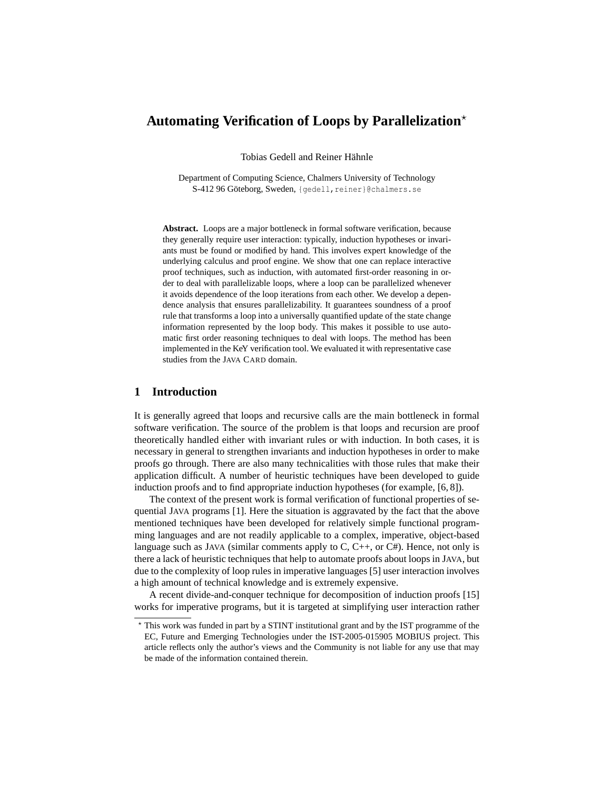# **Automating Verification of Loops by Parallelization**?

Tobias Gedell and Reiner Hähnle

Department of Computing Science, Chalmers University of Technology S-412 96 Göteborg, Sweden, {qedell, reiner}@chalmers.se

**Abstract.** Loops are a major bottleneck in formal software verification, because they generally require user interaction: typically, induction hypotheses or invariants must be found or modified by hand. This involves expert knowledge of the underlying calculus and proof engine. We show that one can replace interactive proof techniques, such as induction, with automated first-order reasoning in order to deal with parallelizable loops, where a loop can be parallelized whenever it avoids dependence of the loop iterations from each other. We develop a dependence analysis that ensures parallelizability. It guarantees soundness of a proof rule that transforms a loop into a universally quantified update of the state change information represented by the loop body. This makes it possible to use automatic first order reasoning techniques to deal with loops. The method has been implemented in the KeY verification tool. We evaluated it with representative case studies from the JAVA CARD domain.

### **1 Introduction**

It is generally agreed that loops and recursive calls are the main bottleneck in formal software verification. The source of the problem is that loops and recursion are proof theoretically handled either with invariant rules or with induction. In both cases, it is necessary in general to strengthen invariants and induction hypotheses in order to make proofs go through. There are also many technicalities with those rules that make their application difficult. A number of heuristic techniques have been developed to guide induction proofs and to find appropriate induction hypotheses (for example, [6, 8]).

The context of the present work is formal verification of functional properties of sequential JAVA programs [1]. Here the situation is aggravated by the fact that the above mentioned techniques have been developed for relatively simple functional programming languages and are not readily applicable to a complex, imperative, object-based language such as JAVA (similar comments apply to  $C, C++,$  or  $C#$ ). Hence, not only is there a lack of heuristic techniques that help to automate proofs about loops in JAVA, but due to the complexity of loop rules in imperative languages [5] user interaction involves a high amount of technical knowledge and is extremely expensive.

A recent divide-and-conquer technique for decomposition of induction proofs [15] works for imperative programs, but it is targeted at simplifying user interaction rather

<sup>?</sup> This work was funded in part by a STINT institutional grant and by the IST programme of the EC, Future and Emerging Technologies under the IST-2005-015905 MOBIUS project. This article reflects only the author's views and the Community is not liable for any use that may be made of the information contained therein.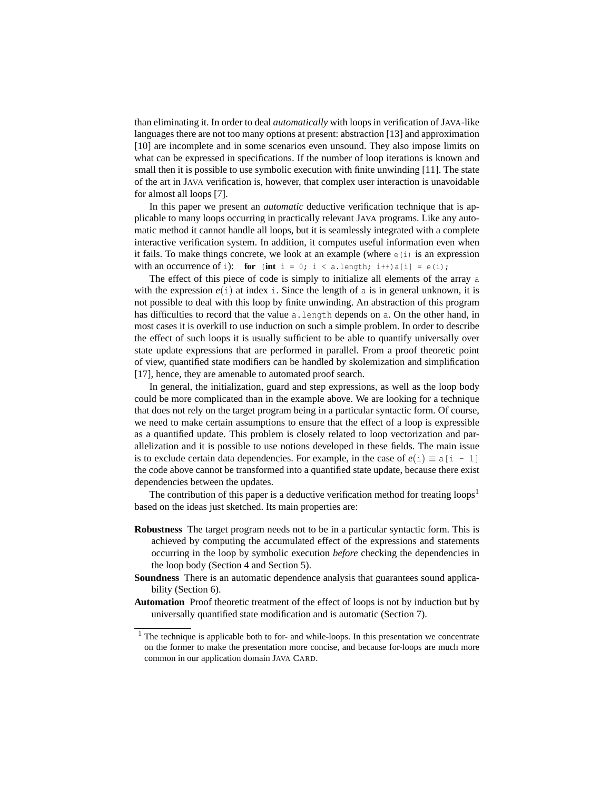than eliminating it. In order to deal *automatically* with loops in verification of JAVA-like languages there are not too many options at present: abstraction [13] and approximation [10] are incomplete and in some scenarios even unsound. They also impose limits on what can be expressed in specifications. If the number of loop iterations is known and small then it is possible to use symbolic execution with finite unwinding [11]. The state of the art in JAVA verification is, however, that complex user interaction is unavoidable for almost all loops [7].

In this paper we present an *automatic* deductive verification technique that is applicable to many loops occurring in practically relevant JAVA programs. Like any automatic method it cannot handle all loops, but it is seamlessly integrated with a complete interactive verification system. In addition, it computes useful information even when it fails. To make things concrete, we look at an example (where  $e(i)$  is an expression with an occurrence of i): **for** (int  $i = 0$ ;  $i < a$ . length;  $i+1$ )  $a[i] = e(i)$ ;

The effect of this piece of code is simply to initialize all elements of the array a with the expression  $e(i)$  at index i. Since the length of a is in general unknown, it is not possible to deal with this loop by finite unwinding. An abstraction of this program has difficulties to record that the value a. length depends on a. On the other hand, in most cases it is overkill to use induction on such a simple problem. In order to describe the effect of such loops it is usually sufficient to be able to quantify universally over state update expressions that are performed in parallel. From a proof theoretic point of view, quantified state modifiers can be handled by skolemization and simplification [17], hence, they are amenable to automated proof search.

In general, the initialization, guard and step expressions, as well as the loop body could be more complicated than in the example above. We are looking for a technique that does not rely on the target program being in a particular syntactic form. Of course, we need to make certain assumptions to ensure that the effect of a loop is expressible as a quantified update. This problem is closely related to loop vectorization and parallelization and it is possible to use notions developed in these fields. The main issue is to exclude certain data dependencies. For example, in the case of  $e(i) \equiv a[i - 1]$ the code above cannot be transformed into a quantified state update, because there exist dependencies between the updates.

The contribution of this paper is a deductive verification method for treating  $\text{loops}^1$ based on the ideas just sketched. Its main properties are:

- **Robustness** The target program needs not to be in a particular syntactic form. This is achieved by computing the accumulated effect of the expressions and statements occurring in the loop by symbolic execution *before* checking the dependencies in the loop body (Section 4 and Section 5).
- **Soundness** There is an automatic dependence analysis that guarantees sound applicability (Section 6).
- **Automation** Proof theoretic treatment of the effect of loops is not by induction but by universally quantified state modification and is automatic (Section 7).

<sup>&</sup>lt;sup>1</sup> The technique is applicable both to for- and while-loops. In this presentation we concentrate on the former to make the presentation more concise, and because for-loops are much more common in our application domain JAVA CARD.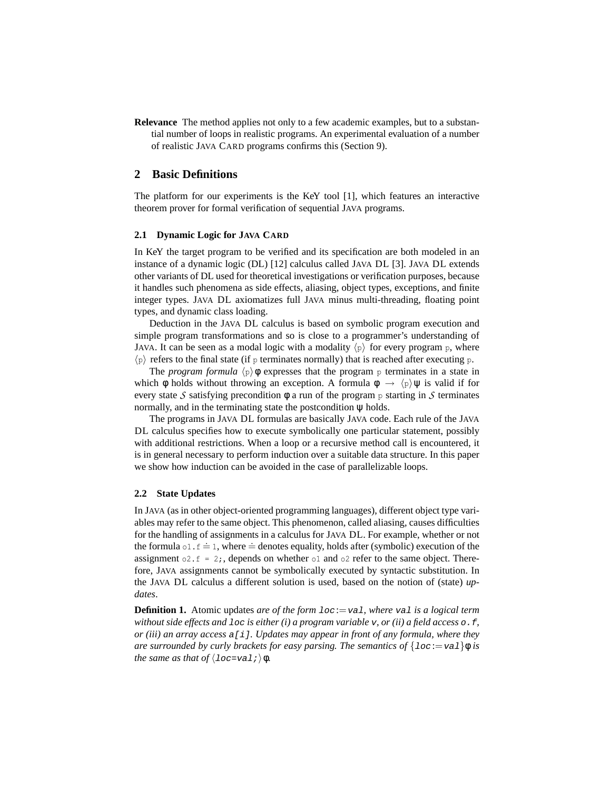**Relevance** The method applies not only to a few academic examples, but to a substantial number of loops in realistic programs. An experimental evaluation of a number of realistic JAVA CARD programs confirms this (Section 9).

### **2 Basic Definitions**

The platform for our experiments is the KeY tool [1], which features an interactive theorem prover for formal verification of sequential JAVA programs.

#### **2.1 Dynamic Logic for JAVA CARD**

In KeY the target program to be verified and its specification are both modeled in an instance of a dynamic logic (DL) [12] calculus called JAVA DL [3]. JAVA DL extends other variants of DL used for theoretical investigations or verification purposes, because it handles such phenomena as side effects, aliasing, object types, exceptions, and finite integer types. JAVA DL axiomatizes full JAVA minus multi-threading, floating point types, and dynamic class loading.

Deduction in the JAVA DL calculus is based on symbolic program execution and simple program transformations and so is close to a programmer's understanding of JAVA. It can be seen as a modal logic with a modality  $\langle p \rangle$  for every program p, where  $\langle p \rangle$  refers to the final state (if p terminates normally) that is reached after executing p.

The *program formula*  $\langle p \rangle \phi$  expresses that the program p terminates in a state in which  $\phi$  holds without throwing an exception. A formula  $\phi \rightarrow \langle p \rangle \psi$  is valid if for every state *S* satisfying precondition  $\phi$  a run of the program  $\phi$  starting in *S* terminates normally, and in the terminating state the postcondition  $\psi$  holds.

The programs in JAVA DL formulas are basically JAVA code. Each rule of the JAVA DL calculus specifies how to execute symbolically one particular statement, possibly with additional restrictions. When a loop or a recursive method call is encountered, it is in general necessary to perform induction over a suitable data structure. In this paper we show how induction can be avoided in the case of parallelizable loops.

#### **2.2 State Updates**

In JAVA (as in other object-oriented programming languages), different object type variables may refer to the same object. This phenomenon, called aliasing, causes difficulties for the handling of assignments in a calculus for JAVA DL. For example, whether or not the formula  $\circ 1 \cdot f = 1$ , where  $\dot{=}$  denotes equality, holds after (symbolic) execution of the assignment  $\circ$ 2. f = 2;, depends on whether  $\circ$ 1 and  $\circ$ 2 refer to the same object. Therefore, JAVA assignments cannot be symbolically executed by syntactic substitution. In the JAVA DL calculus a different solution is used, based on the notion of (state) *updates*.

**Definition 1.** Atomic updates *are of the form loc*:=val, where val *is a logical term without side effects and* loc *is either (i) a program variable* v*, or (ii) a field access* o.f*, or (iii) an array access* a[i]*. Updates may appear in front of any formula, where they are surrounded by curly brackets for easy parsing. The semantics of*  $\{loc:=val\}$ φ *is the same as that of*  $\langle$  loc=val; $\rangle$  $\phi$ .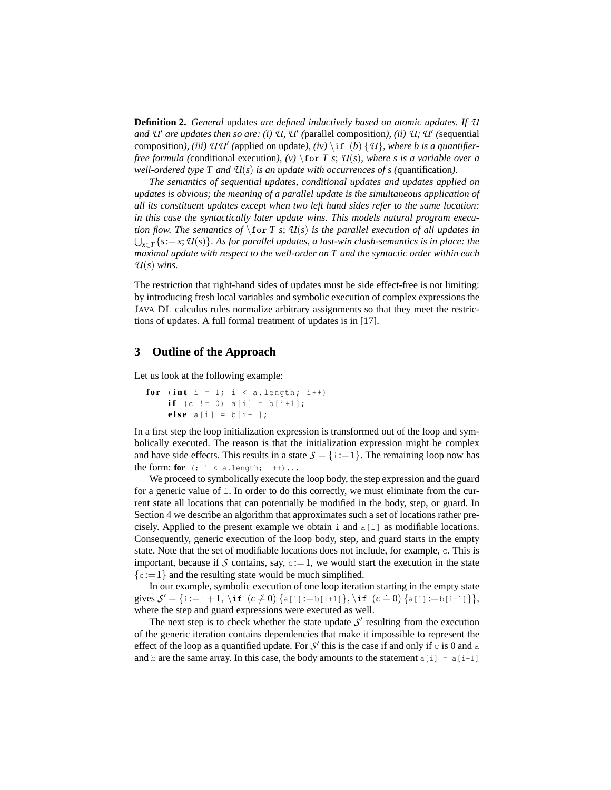**Definition 2.** *General* updates *are defined inductively based on atomic updates. If U and*  $\mathcal{U}'$  *are updates then so are: (i)*  $\mathcal{U}, \mathcal{U}'$  (parallel composition), (*ii)*  $\mathcal{U}$ *;*  $\mathcal{U}'$  (sequential composition), *(iii)*  $\mathcal{U}\mathcal{U}'$  (applied on update), *(iv)*  $\iint (b) \{U\}$ , *where b is a quantifierfree formula (*conditional execution*), (v)* \for *T s*; *U*(*s*)*, where s is a variable over a well-ordered type T and U*(*s*) *is an update with occurrences of s (*quantification*).*

*The semantics of sequential updates, conditional updates and updates applied on updates is obvious; the meaning of a parallel update is the simultaneous application of all its constituent updates except when two left hand sides refer to the same location: in this case the syntactically later update wins. This models natural program execution flow. The semantics of*  $\text{for } T \text{ s}$ ;  $\mathcal{U}(s)$  *is the parallel execution of all updates in*  $\bigcup_{x \in T} \{s := x; \mathcal{U}(s)\}.$  As for parallel updates, a last-win clash-semantics is in place: the *maximal update with respect to the well-order on T and the syntactic order within each U*(*s*) *wins.*

The restriction that right-hand sides of updates must be side effect-free is not limiting: by introducing fresh local variables and symbolic execution of complex expressions the JAVA DL calculus rules normalize arbitrary assignments so that they meet the restrictions of updates. A full formal treatment of updates is in [17].

### **3 Outline of the Approach**

Let us look at the following example:

```
for (int i = 1; i < a. length; i++)if (c := 0) a[i] = b[i+1];
    else a[i] = b[i-1];
```
In a first step the loop initialization expression is transformed out of the loop and symbolically executed. The reason is that the initialization expression might be complex and have side effects. This results in a state  $S = \{i := 1\}$ . The remaining loop now has the form: for  $(i \neq 1 \leq a \ldots \leq b$ ; i++ $(i \neq j \ldots$ 

We proceed to symbolically execute the loop body, the step expression and the guard for a generic value of i. In order to do this correctly, we must eliminate from the current state all locations that can potentially be modified in the body, step, or guard. In Section 4 we describe an algorithm that approximates such a set of locations rather precisely. Applied to the present example we obtain  $\pm$  and  $\pm$  [ $\pm$ ] as modifiable locations. Consequently, generic execution of the loop body, step, and guard starts in the empty state. Note that the set of modifiable locations does not include, for example, c. This is important, because if *S* contains, say,  $c := 1$ , we would start the execution in the state  ${c:=1}$  and the resulting state would be much simplified.

In our example, symbolic execution of one loop iteration starting in the empty state gives  $S' = \{i := i+1, \setminus if \ (c \neq 0) \{a[i]:=b[i+1]\}, \setminus if \ (c = 0) \{a[i]:=b[i-1]\} \},$ where the step and guard expressions were executed as well.

The next step is to check whether the state update  $S'$  resulting from the execution of the generic iteration contains dependencies that make it impossible to represent the effect of the loop as a quantified update. For  $S'$  this is the case if and only if c is 0 and a and b are the same array. In this case, the body amounts to the statement  $a[i] = a[i-1]$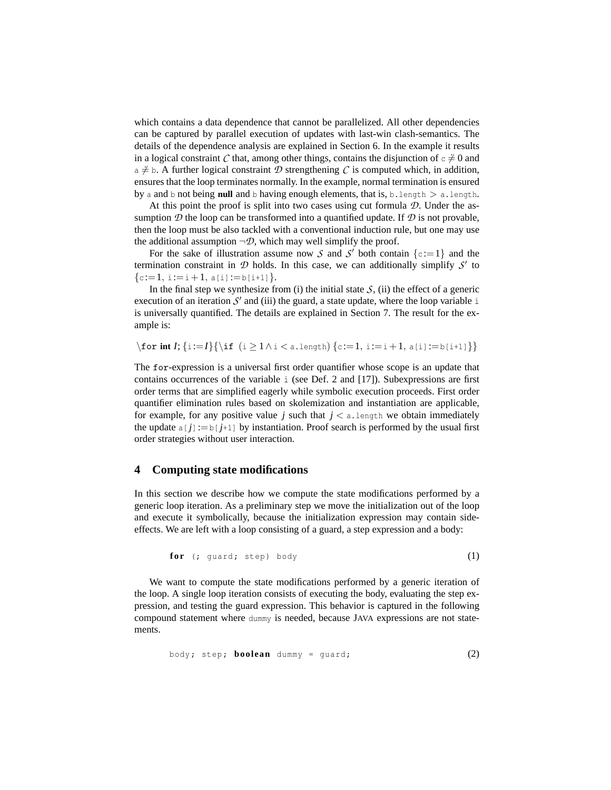which contains a data dependence that cannot be parallelized. All other dependencies can be captured by parallel execution of updates with last-win clash-semantics. The details of the dependence analysis are explained in Section 6. In the example it results in a logical constraint *C* that, among other things, contains the disjunction of  $c \neq 0$  and a  $\neq$  b. A further logical constraint *D* strengthening *C* is computed which, in addition, ensures that the loop terminates normally. In the example, normal termination is ensured by a and b not being **null** and b having enough elements, that is, b.length  $> a$ .length.

At this point the proof is split into two cases using cut formula *D*. Under the assumption  $D$  the loop can be transformed into a quantified update. If  $D$  is not provable, then the loop must be also tackled with a conventional induction rule, but one may use the additional assumption  $\neg \mathcal{D}$ , which may well simplify the proof.

For the sake of illustration assume now *S* and *S'* both contain  $\{c:=1\}$  and the termination constraint in  $D$  holds. In this case, we can additionally simplify  $S'$  to  ${c:=1, i:=i+1, a[i]:=b[i+1]}$ .

In the final step we synthesize from (i) the initial state  $S$ , (ii) the effect of a generic execution of an iteration  $\mathcal{S}'$  and (iii) the guard, a state update, where the loop variable i is universally quantified. The details are explained in Section 7. The result for the example is:

$$
\text{for int } I; \{i := I\} \{\text{if } (i \geq 1 \land i < a.length) \} \{c := 1, i := i + 1, a[i] := b[i+1] \}\}
$$

The for-expression is a universal first order quantifier whose scope is an update that contains occurrences of the variable  $\pm$  (see Def. 2 and [17]). Subexpressions are first order terms that are simplified eagerly while symbolic execution proceeds. First order quantifier elimination rules based on skolemization and instantiation are applicable, for example, for any positive value *j* such that  $j < a$ . Length we obtain immediately the update  $a[j]:=b[j+1]$  by instantiation. Proof search is performed by the usual first order strategies without user interaction.

### **4 Computing state modifications**

In this section we describe how we compute the state modifications performed by a generic loop iteration. As a preliminary step we move the initialization out of the loop and execute it symbolically, because the initialization expression may contain sideeffects. We are left with a loop consisting of a guard, a step expression and a body:

$$
for (; guard; step) body \t(1)
$$

We want to compute the state modifications performed by a generic iteration of the loop. A single loop iteration consists of executing the body, evaluating the step expression, and testing the guard expression. This behavior is captured in the following compound statement where dummy is needed, because JAVA expressions are not statements.

$$
body; step; boolean dummy = guard;
$$
 (2)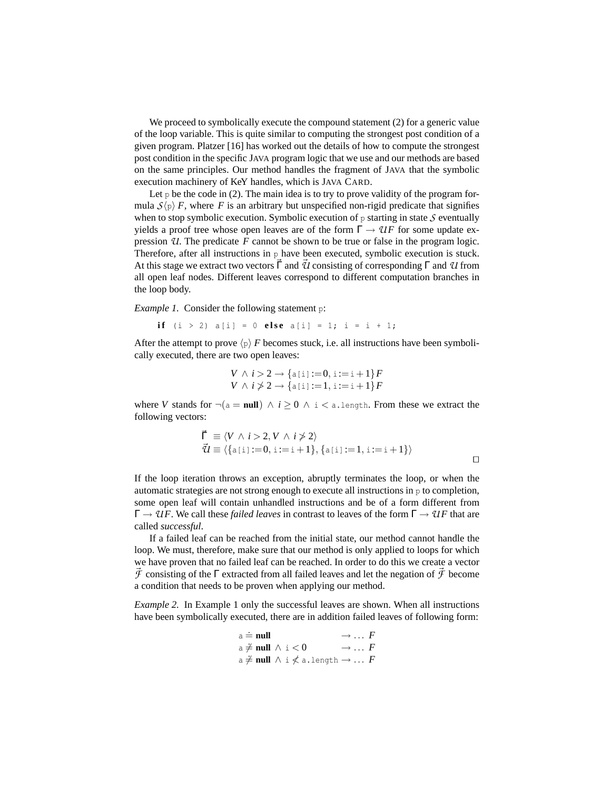We proceed to symbolically execute the compound statement (2) for a generic value of the loop variable. This is quite similar to computing the strongest post condition of a given program. Platzer [16] has worked out the details of how to compute the strongest post condition in the specific JAVA program logic that we use and our methods are based on the same principles. Our method handles the fragment of JAVA that the symbolic execution machinery of KeY handles, which is JAVA CARD.

Let  $p$  be the code in (2). The main idea is to try to prove validity of the program formula  $S\langle p \rangle F$ , where *F* is an arbitrary but unspecified non-rigid predicate that signifies when to stop symbolic execution. Symbolic execution of  $p$  starting in state  $S$  eventually yields a proof tree whose open leaves are of the form  $\Gamma \to \mathcal{U} F$  for some update expression *U*. The predicate *F* cannot be shown to be true or false in the program logic. Therefore, after all instructions in  $p$  have been executed, symbolic execution is stuck. At this stage we extract two vectors  $\vec{\Gamma}$  and  $\vec{\mathcal{U}}$  consisting of corresponding  $\Gamma$  and  $\mathcal{U}$  from all open leaf nodes. Different leaves correspond to different computation branches in the loop body.

*Example 1.* Consider the following statement p:

**if**  $(i > 2)$  a[i] = 0 **else** a[i] = 1; i = i + 1;

After the attempt to prove  $\langle p \rangle$  *F* becomes stuck, i.e. all instructions have been symbolically executed, there are two open leaves:

$$
V \wedge i > 2 \rightarrow \{a[i] := 0, i := i + 1\}F
$$
  

$$
V \wedge i \not\geq 2 \rightarrow \{a[i] := 1, i := i + 1\}F
$$

where *V* stands for  $\neg(a = null) \land i \ge 0 \land i < a$ . length. From these we extract the following vectors:

$$
\vec{\mathbf{I}} \equiv \langle V \land i \rangle 2, V \land i \not\geq 2 \rangle
$$
  
\n
$$
\vec{\mathbf{U}} \equiv \langle \{a[i] \colon i = 0, \, i := i + 1\}, \{a[i] \colon i = 1, \, i := i + 1\} \rangle
$$

 $\Box$ 

If the loop iteration throws an exception, abruptly terminates the loop, or when the automatic strategies are not strong enough to execute all instructions in  $\beta$  to completion, some open leaf will contain unhandled instructions and be of a form different from  $\Gamma \rightarrow \mathcal{U}F$ . We call these *failed leaves* in contrast to leaves of the form  $\Gamma \rightarrow \mathcal{U}F$  that are called *successful*.

If a failed leaf can be reached from the initial state, our method cannot handle the loop. We must, therefore, make sure that our method is only applied to loops for which we have proven that no failed leaf can be reached. In order to do this we create a vector *F*~ consisting of the  $\Gamma$  extracted from all failed leaves and let the negation of *F*~ become a condition that needs to be proven when applying our method.

*Example 2.* In Example 1 only the successful leaves are shown. When all instructions have been symbolically executed, there are in addition failed leaves of following form:

$$
a \doteq \textbf{null} \qquad \longrightarrow \dots F
$$
  
\n
$$
a \not\equiv \textbf{null} \land i < 0 \qquad \longrightarrow \dots F
$$
  
\n
$$
a \not\equiv \textbf{null} \land i \not\leq a.length \rightarrow \dots F
$$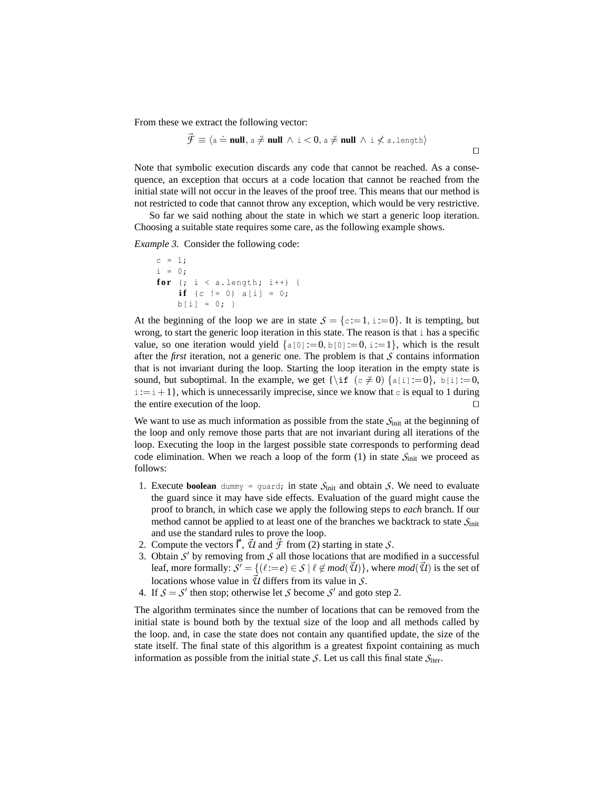From these we extract the following vector:

$$
\vec{\mathcal{F}} \equiv \langle \texttt{a}\doteq \textbf{null}, \texttt{a}\not\equiv \textbf{null}\,\wedge\,\texttt{i}<0, \texttt{a}\not\equiv \textbf{null}\,\wedge\,\texttt{i}\not<\texttt{a.length}\rangle
$$

 $\Box$ 

Note that symbolic execution discards any code that cannot be reached. As a consequence, an exception that occurs at a code location that cannot be reached from the initial state will not occur in the leaves of the proof tree. This means that our method is not restricted to code that cannot throw any exception, which would be very restrictive.

So far we said nothing about the state in which we start a generic loop iteration. Choosing a suitable state requires some care, as the following example shows.

*Example 3.* Consider the following code:

```
c = 1;i = 0:
for (i \ i \leq a.length; i++) {
    if (c := 0) a[i] = 0;
    b[i] = 0;
```
At the beginning of the loop we are in state  $S = \{c := 1, i := 0\}$ . It is tempting, but wrong, to start the generic loop iteration in this state. The reason is that i has a specific value, so one iteration would yield  $\{a[0]:=0, b[0]:=0, i:=1\}$ , which is the result after the *first* iteration, not a generic one. The problem is that *S* contains information that is not invariant during the loop. Starting the loop iteration in the empty state is sound, but suboptimal. In the example, we get  $\{\text{if } (c \neq 0) \{a[i]:=0\}, b[i]:=0,$  $i:=i+1$ , which is unnecessarily imprecise, since we know that c is equal to 1 during the entire execution of the loop.  $\Box$ 

We want to use as much information as possible from the state  $S<sub>init</sub>$  at the beginning of the loop and only remove those parts that are not invariant during all iterations of the loop. Executing the loop in the largest possible state corresponds to performing dead code elimination. When we reach a loop of the form  $(1)$  in state  $S<sub>init</sub>$  we proceed as follows:

- 1. Execute **boolean** dummy = guard; in state  $S_{init}$  and obtain *S*. We need to evaluate the guard since it may have side effects. Evaluation of the guard might cause the proof to branch, in which case we apply the following steps to *each* branch. If our method cannot be applied to at least one of the branches we backtrack to state *S*init and use the standard rules to prove the loop.
- 2. Compute the vectors  $\vec{\Gamma}$ ,  $\vec{\mathcal{U}}$  and  $\vec{\mathcal{F}}$  from (2) starting in state *S*.
- 3. Obtain  $S'$  by removing from  $S$  all those locations that are modified in a successful leaf, more formally:  $S' = \{(\ell := e) \in S \mid \ell \notin mod(\mathcal{U})\}$ , where  $mod(\mathcal{U})$  is the set of locations whose value in  $\vec{U}$  differs from its value in *S*.
- 4. If  $S = S'$  then stop; otherwise let *S* become *S'* and goto step 2.

The algorithm terminates since the number of locations that can be removed from the initial state is bound both by the textual size of the loop and all methods called by the loop. and, in case the state does not contain any quantified update, the size of the state itself. The final state of this algorithm is a greatest fixpoint containing as much information as possible from the initial state  $S$ . Let us call this final state  $S_{\text{iter}}$ .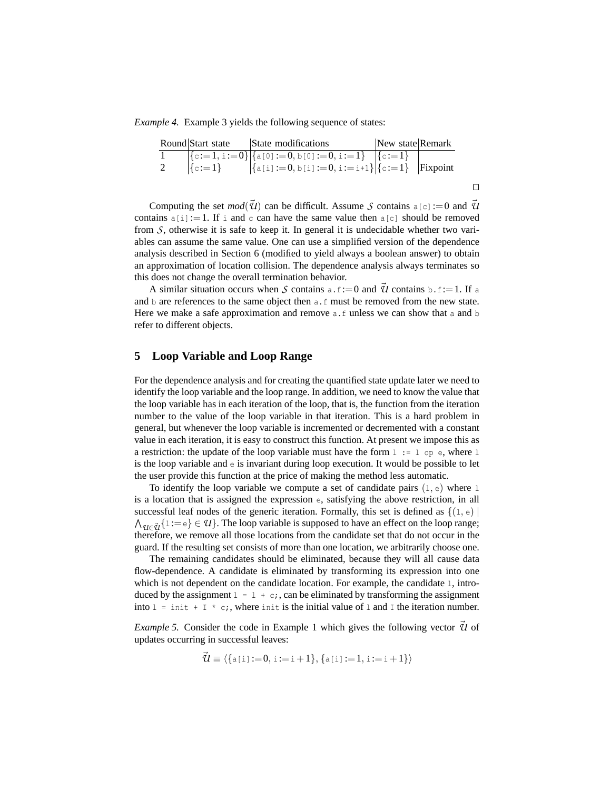*Example 4.* Example 3 yields the following sequence of states:

| Round Start state | State modifications                                                                                                           | New state Remark |  |
|-------------------|-------------------------------------------------------------------------------------------------------------------------------|------------------|--|
|                   | 1 $\{c:=1, i:=0\}$ $\{a[0]:=0, b[0]:=0, i:=1\}$ $\{c:=1\}$<br>2 $\{c:=1\}$ $\{a[i]:=0, b[i]:=0, i:=i+1\}$ $\{c:=1\}$ Fixpoint |                  |  |
|                   |                                                                                                                               |                  |  |
|                   |                                                                                                                               |                  |  |

 $\Box$ 

Computing the set *mod*( $\vec{U}$ ) can be difficult. Assume *S* contains  $a[c]:=0$  and  $\vec{U}$ contains  $a[i]:=1$ . If i and c can have the same value then  $a[c]$  should be removed from *S*, otherwise it is safe to keep it. In general it is undecidable whether two variables can assume the same value. One can use a simplified version of the dependence analysis described in Section 6 (modified to yield always a boolean answer) to obtain an approximation of location collision. The dependence analysis always terminates so this does not change the overall termination behavior.

A similar situation occurs when *S* contains a.f:=0 and  $\vec{U}$  contains b.f:=1. If a and b are references to the same object then a.f must be removed from the new state. Here we make a safe approximation and remove  $a.f$  unless we can show that  $a$  and  $b$ refer to different objects.

# **5 Loop Variable and Loop Range**

For the dependence analysis and for creating the quantified state update later we need to identify the loop variable and the loop range. In addition, we need to know the value that the loop variable has in each iteration of the loop, that is, the function from the iteration number to the value of the loop variable in that iteration. This is a hard problem in general, but whenever the loop variable is incremented or decremented with a constant value in each iteration, it is easy to construct this function. At present we impose this as a restriction: the update of the loop variable must have the form  $l := l$  op e, where l is the loop variable and  $\epsilon$  is invariant during loop execution. It would be possible to let the user provide this function at the price of making the method less automatic.

To identify the loop variable we compute a set of candidate pairs  $(1, e)$  where 1 is a location that is assigned the expression e, satisfying the above restriction, in all successful leaf nodes of the generic iteration. Formally, this set is defined as  $\{(1, e) \mid$  $\bigwedge_{\mathcal{U} \in \mathcal{U}} \{1 := e\} \in \mathcal{U}$ . The loop variable is supposed to have an effect on the loop range; therefore, we remove all those locations from the candidate set that do not occur in the guard. If the resulting set consists of more than one location, we arbitrarily choose one.

The remaining candidates should be eliminated, because they will all cause data flow-dependence. A candidate is eliminated by transforming its expression into one which is not dependent on the candidate location. For example, the candidate 1, introduced by the assignment  $l = l + c$ ; can be eliminated by transforming the assignment into  $l = init + I * c$ ;, where init is the initial value of l and I the iteration number.

*Example 5.* Consider the code in Example 1 which gives the following vector  $\vec{U}$  of updates occurring in successful leaves:

$$
\vec{\mathcal{U}}\equiv\langle\{\textbf{a[i]}:=0,\textbf{i}:=\textbf{i}+1\},\{\textbf{a[i]}:=1,\textbf{i}:=\textbf{i}+1\}\rangle
$$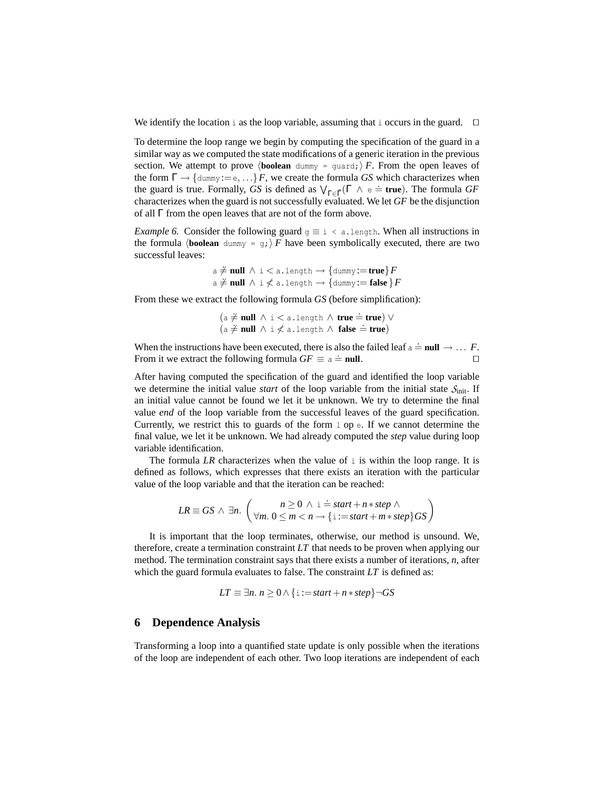We identify the location i as the loop variable, assuming that i occurs in the guard.  $\square$ 

To determine the loop range we begin by computing the specification of the guard in a similar way as we computed the state modifications of a generic iteration in the previous section. We attempt to prove (**boolean** dummy = quard;) F. From the open leaves of the form  $\Gamma \rightarrow \{\text{dummy}:=\text{e},\dots\}F$ , we create the formula *GS* which characterizes when the guard is true. Formally, *GS* is defined as  $V_{\Gamma \in \vec{\Gamma}}(\Gamma \wedge e = \textbf{true})$ . The formula *GF* characterizes when the guard is not successfully evaluated. We let *GF* be the disjunction of all Γ from the open leaves that are not of the form above.

*Example 6.* Consider the following guard  $q \equiv i \lt a$ . Length. When all instructions in the formula (**boolean** dummy =  $q_i$ ) *F* have been symbolically executed, there are two successful leaves:

> $a \neq \textbf{null} \land i < a.length \rightarrow \{\text{dummy}:= \textbf{true}\}$ a  $\neq$  **null**  $\land$  i  $\leq$  a.length  $\rightarrow$  {dummy:= **false**}*F*

From these we extract the following formula *GS* (before simplification):

 $(a \neq null \land i < a.length \land true \doteq true)$  ∨ (a <del>/</del> **null**  $\land$  **i**  $\leq$  a.length  $\land$  **false** = **true**)

When the instructions have been executed, there is also the failed leaf  $a \doteq \textbf{null} \rightarrow \dots F$ . From it we extract the following formula  $GF \equiv a \doteq \textbf{null}$ . also the farica ical  $a = \min$   $\cdots$   $\cdots$   $\cdots$   $\cdots$   $\cdots$   $\cdots$ 

After having computed the specification of the guard and identified the loop variable we determine the initial value *start* of the loop variable from the initial state *S*init. If an initial value cannot be found we let it be unknown. We try to determine the final value *end* of the loop variable from the successful leaves of the guard specification. Currently, we restrict this to guards of the form  $1$  op e. If we cannot determine the final value, we let it be unknown. We had already computed the *step* value during loop variable identification.

The formula *LR* characterizes when the value of  $\pm$  is within the loop range. It is defined as follows, which expresses that there exists an iteration with the particular value of the loop variable and that the iteration can be reached:

$$
LR \equiv GS \land \exists n. \begin{pmatrix} n \ge 0 \land i = start + n * step \land \\ \forall m. 0 \le m < n \rightarrow \{i := start + m * step\} GS \end{pmatrix}
$$

It is important that the loop terminates, otherwise, our method is unsound. We, therefore, create a termination constraint *LT* that needs to be proven when applying our method. The termination constraint says that there exists a number of iterations, *n*, after which the guard formula evaluates to false. The constraint *LT* is defined as:

$$
LT \equiv \exists n. \; n \ge 0 \land \{ \mathbf{i} := start + n * step \} \neg GS
$$

### **6 Dependence Analysis**

Transforming a loop into a quantified state update is only possible when the iterations of the loop are independent of each other. Two loop iterations are independent of each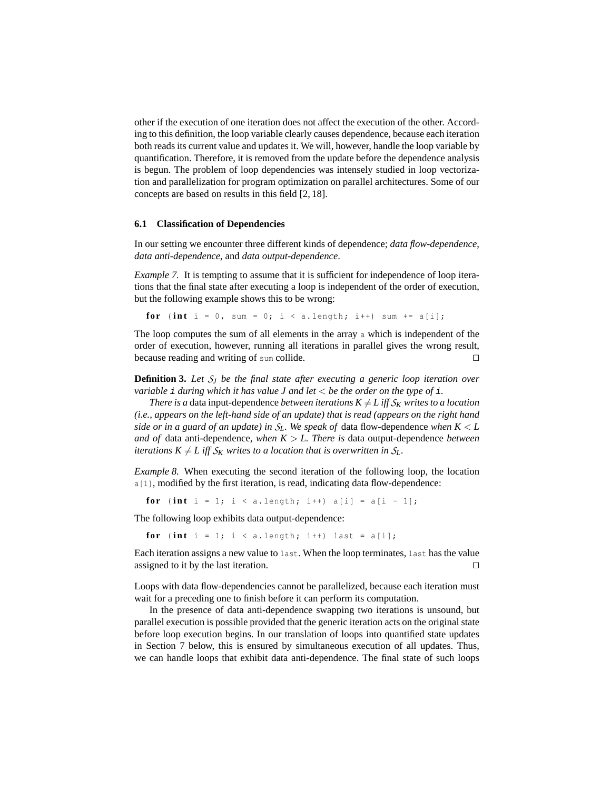other if the execution of one iteration does not affect the execution of the other. According to this definition, the loop variable clearly causes dependence, because each iteration both reads its current value and updates it. We will, however, handle the loop variable by quantification. Therefore, it is removed from the update before the dependence analysis is begun. The problem of loop dependencies was intensely studied in loop vectorization and parallelization for program optimization on parallel architectures. Some of our concepts are based on results in this field [2, 18].

#### **6.1 Classification of Dependencies**

In our setting we encounter three different kinds of dependence; *data flow-dependence*, *data anti-dependence*, and *data output-dependence*.

*Example 7.* It is tempting to assume that it is sufficient for independence of loop iterations that the final state after executing a loop is independent of the order of execution, but the following example shows this to be wrong:

**for** (int i = 0, sum = 0; i < a. length; i++) sum += a[i];

The loop computes the sum of all elements in the array a which is independent of the order of execution, however, running all iterations in parallel gives the wrong result, because reading and writing of sum collide.  $\Box$ 

**Definition 3.** *Let S<sup>J</sup> be the final state after executing a generic loop iteration over variable* i *during which it has value J and let* < *be the order on the type of* i*.*

*There is a* data input-dependence *between iterations*  $K \neq L$  *iff*  $S_K$  *writes to a location (i.e., appears on the left-hand side of an update) that is read (appears on the right hand side or in a guard of an update) in*  $S_L$ *. We speak of data flow-dependence when*  $K < L$ *and of* data anti-dependence, when  $K > L$ . There is data output-dependence between *iterations*  $K \neq L$  *iff*  $S_K$  *writes to a location that is overwritten in*  $S_L$ *.* 

*Example 8.* When executing the second iteration of the following loop, the location a[1], modified by the first iteration, is read, indicating data flow-dependence:

**for** (int i = 1; i < a. length; i++) a[i] = a[i - 1];

The following loop exhibits data output-dependence:

**for** (int i = 1; i < a. length; i++) last = a[i];

Each iteration assigns a new value to last. When the loop terminates, last has the value assigned to it by the last iteration.  $\Box$ 

Loops with data flow-dependencies cannot be parallelized, because each iteration must wait for a preceding one to finish before it can perform its computation.

In the presence of data anti-dependence swapping two iterations is unsound, but parallel execution is possible provided that the generic iteration acts on the original state before loop execution begins. In our translation of loops into quantified state updates in Section 7 below, this is ensured by simultaneous execution of all updates. Thus, we can handle loops that exhibit data anti-dependence. The final state of such loops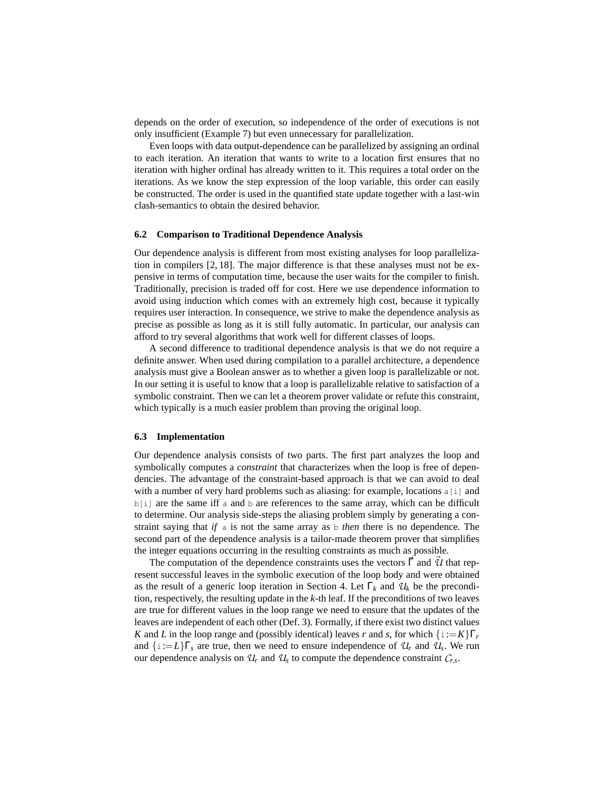depends on the order of execution, so independence of the order of executions is not only insufficient (Example 7) but even unnecessary for parallelization.

Even loops with data output-dependence can be parallelized by assigning an ordinal to each iteration. An iteration that wants to write to a location first ensures that no iteration with higher ordinal has already written to it. This requires a total order on the iterations. As we know the step expression of the loop variable, this order can easily be constructed. The order is used in the quantified state update together with a last-win clash-semantics to obtain the desired behavior.

#### **6.2 Comparison to Traditional Dependence Analysis**

Our dependence analysis is different from most existing analyses for loop parallelization in compilers [2, 18]. The major difference is that these analyses must not be expensive in terms of computation time, because the user waits for the compiler to finish. Traditionally, precision is traded off for cost. Here we use dependence information to avoid using induction which comes with an extremely high cost, because it typically requires user interaction. In consequence, we strive to make the dependence analysis as precise as possible as long as it is still fully automatic. In particular, our analysis can afford to try several algorithms that work well for different classes of loops.

A second difference to traditional dependence analysis is that we do not require a definite answer. When used during compilation to a parallel architecture, a dependence analysis must give a Boolean answer as to whether a given loop is parallelizable or not. In our setting it is useful to know that a loop is parallelizable relative to satisfaction of a symbolic constraint. Then we can let a theorem prover validate or refute this constraint, which typically is a much easier problem than proving the original loop.

#### **6.3 Implementation**

Our dependence analysis consists of two parts. The first part analyzes the loop and symbolically computes a *constraint* that characterizes when the loop is free of dependencies. The advantage of the constraint-based approach is that we can avoid to deal with a number of very hard problems such as aliasing: for example, locations  $a[i]$  and  $b[i]$  are the same iff a and b are references to the same array, which can be difficult to determine. Our analysis side-steps the aliasing problem simply by generating a constraint saying that *if* a is not the same array as b *then* there is no dependence. The second part of the dependence analysis is a tailor-made theorem prover that simplifies the integer equations occurring in the resulting constraints as much as possible.

The computation of the dependence constraints uses the vectors  $\Gamma$  and  $\mathcal U$  that represent successful leaves in the symbolic execution of the loop body and were obtained as the result of a generic loop iteration in Section 4. Let  $\Gamma_k$  and  $\mathcal{U}_k$  be the precondition, respectively, the resulting update in the *k*-th leaf. If the preconditions of two leaves are true for different values in the loop range we need to ensure that the updates of the leaves are independent of each other (Def. 3). Formally, if there exist two distinct values *K* and *L* in the loop range and (possibly identical) leaves *r* and *s*, for which  $\{i := K\}\Gamma_r$ and  $\{i:=L\}\Gamma_s$  are true, then we need to ensure independence of  $\mathcal{U}_r$  and  $\mathcal{U}_s$ . We run our dependence analysis on  $U_r$  and  $U_s$  to compute the dependence constraint  $C_{r,s}$ .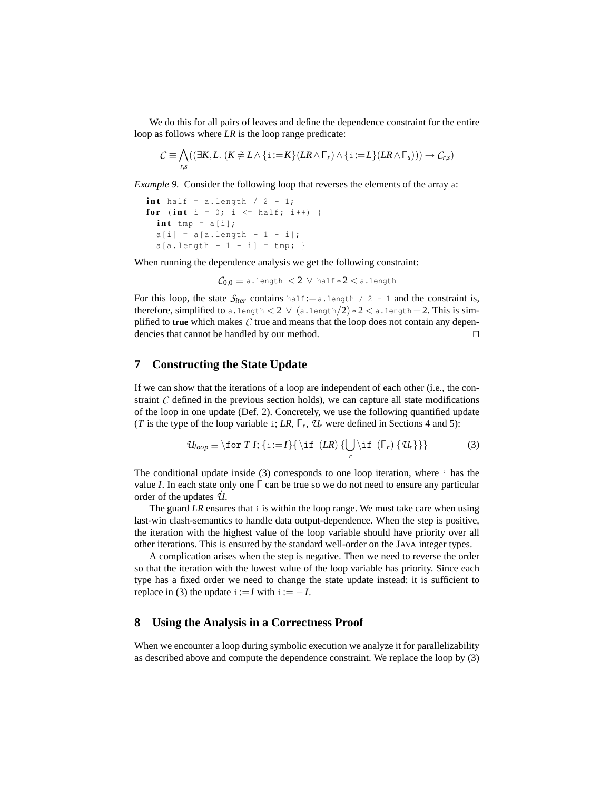We do this for all pairs of leaves and define the dependence constraint for the entire loop as follows where *LR* is the loop range predicate:

$$
C \equiv \bigwedge_{r,s} ((\exists K,L \cdot (K \neq L \wedge \{ \i := K \} (LR \wedge \Gamma_r) \wedge \{ \i := L \} (LR \wedge \Gamma_s))) \rightarrow C_{r,s})
$$

*Example 9.* Consider the following loop that reverses the elements of the array a:

```
int half = a. length / 2 - 1;
for (int i = 0; i <= half; i++) {
 int tmp = a[i];a[i] = a[a.length - 1 - i];a[a.length - 1 - i] = tmp;
```
When running the dependence analysis we get the following constraint:

 $C_{0,0} \equiv$  a.length  $< 2 \vee$  half  $*2 <$  a.length

For this loop, the state  $S_{iter}$  contains half:=a.length / 2 - 1 and the constraint is, therefore, simplified to a. length  $\langle 2 \vee (a.\text{length}/2) * 2 \langle a.\text{length} + 2.$  This is simplified to **true** which makes *C* true and means that the loop does not contain any dependencies that cannot be handled by our method.  $\Box$ 

# **7 Constructing the State Update**

If we can show that the iterations of a loop are independent of each other (i.e., the constraint  $C$  defined in the previous section holds), we can capture all state modifications of the loop in one update (Def. 2). Concretely, we use the following quantified update (*T* is the type of the loop variable i; *LR*,  $\Gamma_r$ ,  $\mathcal{U}_r$  were defined in Sections 4 and 5):

$$
\mathcal{U}_{loop} \equiv \text{ for } I \text{; } \{i := I\} \{\text{ if } (LR) \{U\} \text{ if } (T_r) \{U_r\}\}\}\
$$
\n(3)

The conditional update inside (3) corresponds to one loop iteration, where i has the value *I*. In each state only one Γ can be true so we do not need to ensure any particular order of the updates  $U$ .

The guard *LR* ensures that i is within the loop range. We must take care when using last-win clash-semantics to handle data output-dependence. When the step is positive, the iteration with the highest value of the loop variable should have priority over all other iterations. This is ensured by the standard well-order on the JAVA integer types.

A complication arises when the step is negative. Then we need to reverse the order so that the iteration with the lowest value of the loop variable has priority. Since each type has a fixed order we need to change the state update instead: it is sufficient to replace in (3) the update  $i := I$  with  $i := -I$ .

# **8 Using the Analysis in a Correctness Proof**

When we encounter a loop during symbolic execution we analyze it for parallelizability as described above and compute the dependence constraint. We replace the loop by (3)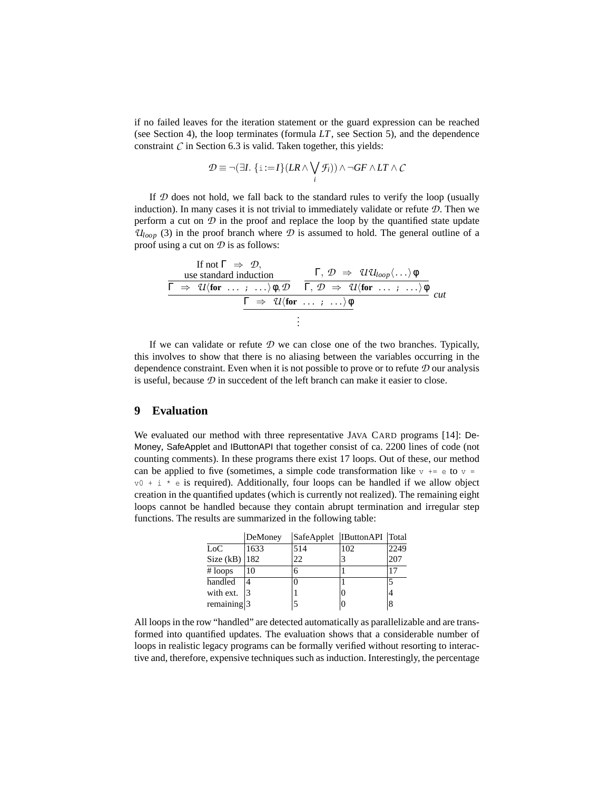if no failed leaves for the iteration statement or the guard expression can be reached (see Section 4), the loop terminates (formula *LT*, see Section 5), and the dependence constraint *C* in Section 6.3 is valid. Taken together, this yields:

$$
\mathcal{D} \equiv \neg(\exists I. \{ \i := I \} (LR \wedge \bigvee_i \mathcal{F}_i)) \wedge \neg GF \wedge LT \wedge C
$$

If  $D$  does not hold, we fall back to the standard rules to verify the loop (usually induction). In many cases it is not trivial to immediately validate or refute *D*. Then we perform a cut on  $D$  in the proof and replace the loop by the quantified state update  $U_{loop}$  (3) in the proof branch where  $D$  is assumed to hold. The general outline of a proof using a cut on *D* is as follows:

If not 
$$
\Gamma \Rightarrow \mathcal{D}
$$
,  
use standard induction  
 $\overline{\Gamma} \Rightarrow \mathcal{U}(\text{for} \dots; \dots) \phi, \mathcal{D}$   $\overline{\Gamma}, \mathcal{D} \Rightarrow \mathcal{U}(\text{for} \dots; \dots) \phi$   
 $\overline{\Gamma} \Rightarrow \mathcal{U}(\text{for} \dots; \dots) \phi$   
 $\overline{\Gamma} \Rightarrow \mathcal{U}(\text{for} \dots; \dots) \phi$   
 $\vdots$ 

If we can validate or refute  $D$  we can close one of the two branches. Typically, this involves to show that there is no aliasing between the variables occurring in the dependence constraint. Even when it is not possible to prove or to refute *D* our analysis is useful, because *D* in succedent of the left branch can make it easier to close.

# **9 Evaluation**

We evaluated our method with three representative JAVA CARD programs [14]: De-Money, SafeApplet and IButtonAPI that together consist of ca. 2200 lines of code (not counting comments). In these programs there exist 17 loops. Out of these, our method can be applied to five (sometimes, a simple code transformation like  $v += e$  to  $v =$  $v0 + i * e$  is required). Additionally, four loops can be handled if we allow object creation in the quantified updates (which is currently not realized). The remaining eight loops cannot be handled because they contain abrupt termination and irregular step functions. The results are summarized in the following table:

|                   | DeMoney |     | SafeApplet  IButtonAPI  Total |      |
|-------------------|---------|-----|-------------------------------|------|
| Loc               | 1633    | 514 | 102                           | 2249 |
| Size $(kB)$   182 |         | 22  |                               | 207  |
| # loops           | 10      |     |                               |      |
| handled           |         |     |                               |      |
| with ext.         |         |     |                               | 4    |
| remaining $ 3 $   |         |     |                               | 8    |

All loops in the row "handled" are detected automatically as parallelizable and are transformed into quantified updates. The evaluation shows that a considerable number of loops in realistic legacy programs can be formally verified without resorting to interactive and, therefore, expensive techniques such as induction. Interestingly, the percentage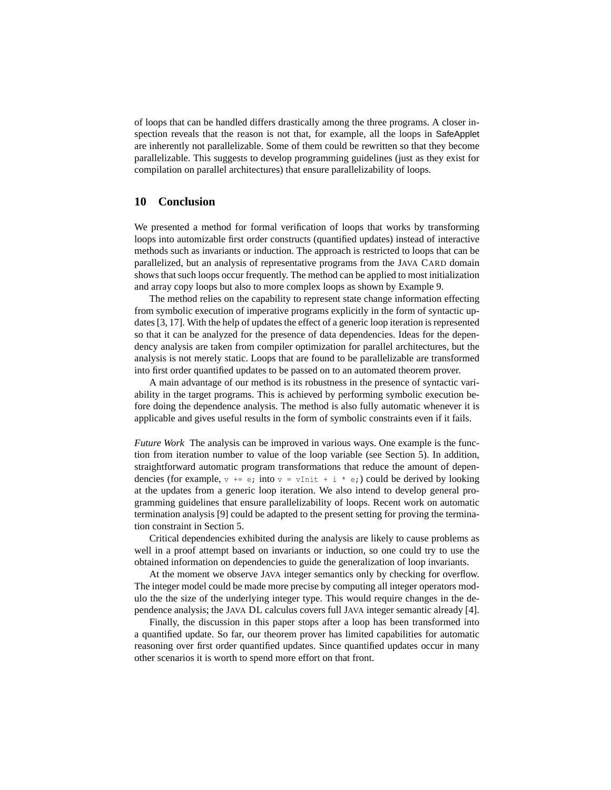of loops that can be handled differs drastically among the three programs. A closer inspection reveals that the reason is not that, for example, all the loops in SafeApplet are inherently not parallelizable. Some of them could be rewritten so that they become parallelizable. This suggests to develop programming guidelines (just as they exist for compilation on parallel architectures) that ensure parallelizability of loops.

### **10 Conclusion**

We presented a method for formal verification of loops that works by transforming loops into automizable first order constructs (quantified updates) instead of interactive methods such as invariants or induction. The approach is restricted to loops that can be parallelized, but an analysis of representative programs from the JAVA CARD domain shows that such loops occur frequently. The method can be applied to most initialization and array copy loops but also to more complex loops as shown by Example 9.

The method relies on the capability to represent state change information effecting from symbolic execution of imperative programs explicitly in the form of syntactic updates [3, 17]. With the help of updates the effect of a generic loop iteration is represented so that it can be analyzed for the presence of data dependencies. Ideas for the dependency analysis are taken from compiler optimization for parallel architectures, but the analysis is not merely static. Loops that are found to be parallelizable are transformed into first order quantified updates to be passed on to an automated theorem prover.

A main advantage of our method is its robustness in the presence of syntactic variability in the target programs. This is achieved by performing symbolic execution before doing the dependence analysis. The method is also fully automatic whenever it is applicable and gives useful results in the form of symbolic constraints even if it fails.

*Future Work* The analysis can be improved in various ways. One example is the function from iteration number to value of the loop variable (see Section 5). In addition, straightforward automatic program transformations that reduce the amount of dependencies (for example,  $v \rightarrow e$ ; into  $v = v$ Init  $+ i * e$ ; could be derived by looking at the updates from a generic loop iteration. We also intend to develop general programming guidelines that ensure parallelizability of loops. Recent work on automatic termination analysis [9] could be adapted to the present setting for proving the termination constraint in Section 5.

Critical dependencies exhibited during the analysis are likely to cause problems as well in a proof attempt based on invariants or induction, so one could try to use the obtained information on dependencies to guide the generalization of loop invariants.

At the moment we observe JAVA integer semantics only by checking for overflow. The integer model could be made more precise by computing all integer operators modulo the the size of the underlying integer type. This would require changes in the dependence analysis; the JAVA DL calculus covers full JAVA integer semantic already [4].

Finally, the discussion in this paper stops after a loop has been transformed into a quantified update. So far, our theorem prover has limited capabilities for automatic reasoning over first order quantified updates. Since quantified updates occur in many other scenarios it is worth to spend more effort on that front.